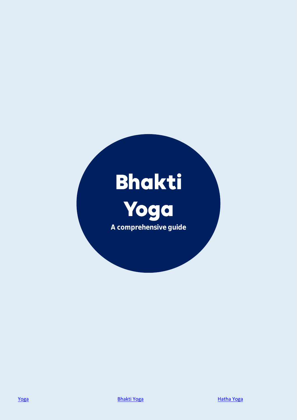# **Bhakti**



[Yoga](https://d.docs.live.net/277ae425bb9b6776/Documents/worldyogaforum.com) **[Bhakti Yoga](https://worldyogaforum.com/bhakti-yoga/)** Bhakti Yoga [Hatha Yoga](https://worldyogaforum.com/hatha-yoga/) Hatha Yoga Hatha Yoga Hatha Yoga Hatha Yoga Hatha Yoga Hatha Yoga Hatha Yoga Hatha Yoga Hatha Yoga Hatha Yoga Hatha Yoga Hatha Yoga Hatha Yoga Hatha Yoga Hatha Yoga Hatha Yoga Hath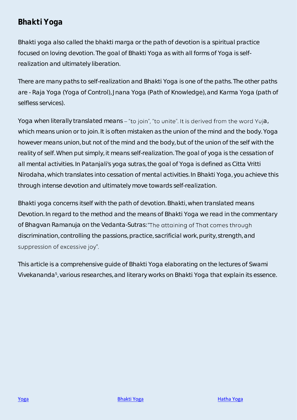# <span id="page-1-0"></span>**Bhakti Yoga**

Bhakti yoga also called the bhakti marga or the path of devotion is a spiritual practice focused on loving devotion. The goal of Bhakti Yoga as with all forms of Yoga is selfrealization and ultimately liberation.

There are many paths to self-realization and Bhakti Yoga is one of the paths. The other paths are - Raja Yoga (Yoga of Control), Jnana Yoga (Path of Knowledge), and Karma Yoga (path of selfless services).

Yoga when literally translated means - "to join", "to unite". It is derived from the word Yuja, which means union or to join. It is often mistaken as the union of the mind and the body. Yoga however means union, but not of the mind and the body, but of the union of the self with the reality of self. When put simply, it means self-realization. The goal of yoga is the cessation of all mental activities. In Patanjali's yoga sutras, the goal of Yoga is defined as Citta Vritti Nirodaha, which translates into cessation of mental activities. In Bhakti Yoga, you achieve this through intense devotion and ultimately move towards self-realization.

Bhakti yoga concerns itself with the path of devotion. Bhakti, when translated means Devotion. In regard to the method and the means of Bhakti Yoga we read in the commentary of Bhagvan Ramanuja on the Vedanta-Sutras: discrimination, controlling the passions, practice, sacrificial work, purity, strength, and suppression of excessive joy".

This article is a comprehensive guide of Bhakti Yoga elaborating on the lectures of Swami Vivekananda<sup>5</sup>, various researches, and literary works on Bhakti Yoga that explain its essence.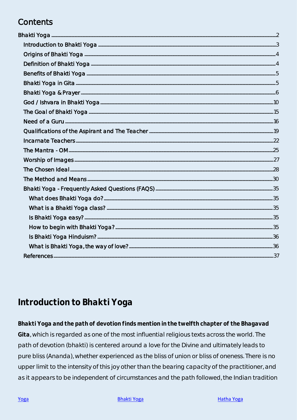# Contents

| The Goal of Bhakti Yoga <b>[2008]</b> 15                                          |  |
|-----------------------------------------------------------------------------------|--|
|                                                                                   |  |
| Qualifications of the Aspirant and The Teacher <b>Entity of the Separation</b> 19 |  |
|                                                                                   |  |
|                                                                                   |  |
|                                                                                   |  |
| The Chosen Ideal 28                                                               |  |
|                                                                                   |  |
|                                                                                   |  |
|                                                                                   |  |
|                                                                                   |  |
|                                                                                   |  |
|                                                                                   |  |
|                                                                                   |  |
|                                                                                   |  |
|                                                                                   |  |

# <span id="page-2-0"></span>Introduction to Bhakti Yoga

Bhakti Yoga and the path of devotion finds mention in the twelfth chapter of the Bhagavad Gita, which is regarded as one of the most influential religious texts across the world. The path of devotion (bhakti) is centered around a love for the Divine and ultimately leads to pure bliss (Ananda), whether experienced as the bliss of union or bliss of oneness. There is no upper limit to the intensity of this joy other than the bearing capacity of the practitioner, and as it appears to be independent of circumstances and the path followed, the Indian tradition

**Bhakti Yoga**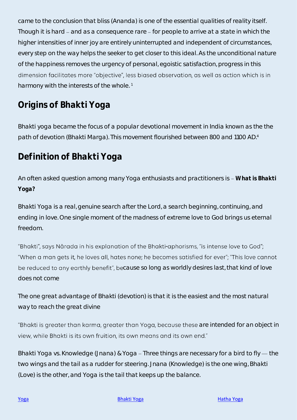came to the conclusion that bliss (Ananda) is one of the essential qualities of reality itself. Though it is hard – and as a consequence rare – for people to arrive at a state in which the higher intensities of inner joy are entirely uninterrupted and independent of circumstances, every step on the way helps the seeker to get closer to this ideal. As the unconditional nature of the happiness removes the urgency of personal, egoistic satisfaction, progress in this dimension facilitates more "objective", less biased observation, as well as action which is in harmony with the interests of the whole.<sup>1</sup>

# <span id="page-3-0"></span>**Origins of Bhakti Yoga**

Bhakti yoga became the focus of a popular devotional movement in India known as the the path of devotion (Bhakti Marga). This movement flourished between 800 and 1100 AD.<sup>4</sup>

# <span id="page-3-1"></span>**Definition of Bhakti Yoga**

An often asked question among many Yoga enthusiasts and practitioners is - What is Bhakti **Yoga?**

Bhakti Yoga is a real, genuine search after the Lord, a search beginning, continuing, and ending in love. One single moment of the madness of extreme love to God brings us eternal freedom.

"Bhakti", says Nârada in his explanation of the Bhakti-aphorisms, "is intense love to God"; "When a man gets it, he loves all, hates none; he becomes satisfied for ever"; "This love cannot be reduced to any earthly benefit", because so long as worldly desires last, that kind of love does not come

The one great advantage of Bhakti (devotion) is that it is the easiest and the most natural way to reach the great divine

"Bhakti is greater than karma, greater than Yoga, because these are intended for an object in view, while Bhakti is its own fruition, its own means and its own end."

Bhakti Yoga vs. Knowledge (Jnana) & Yoga  $-$  Three things are necessary for a bird to fly  $-$  the two wings and the tail as a rudder for steering. Jnana (Knowledge) is the one wing, Bhakti (Love) is the other, and Yoga is the tail that keeps up the balance.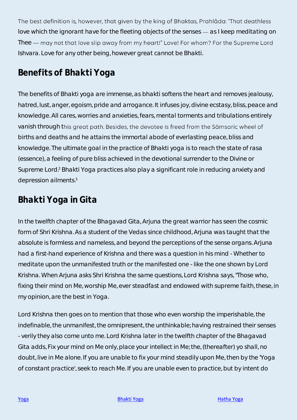The best definition is, however, that given by the king of Bhaktas, Prahlâda: "That deathless love which the ignorant have for the fleeting objects of the senses — as I keep meditating on Thee — may not that love slip away from my heart!" Love! For whom? For the Supreme Lord Ishvara. Love for any other being, however great cannot be Bhakti.

# <span id="page-4-0"></span>**Benefits of Bhakti Yoga**

The benefits of Bhakti yoga are immense, as bhakti softens the heart and removes jealousy, hatred, lust, anger, egoism, pride and arrogance. It infuses joy, divine ecstasy, bliss, peace and knowledge. All cares, worries and anxieties, fears, mental torments and tribulations entirely vanish through this great path. Besides, the devotee is freed from the Sāmsaric wheel of births and deaths and he attains the immortal abode of everlasting peace, bliss and knowledge. The ultimate goal in the practice of Bhakti yoga is to reach the state of rasa (essence), a feeling of pure bliss achieved in the devotional surrender to the Divine or Supreme Lord.<sup>2</sup> Bhakti Yoga practices also play a significant role in reducing anxiety and depression ailments.<sup>3</sup>

# <span id="page-4-1"></span>**Bhakti Yoga in Gita**

In the twelfth chapter of the Bhagavad Gita, Arjuna the great warrior has seen the cosmic form of Shri Krishna. As a student of the Vedas since childhood, Arjuna was taught that the absolute is formless and nameless, and beyond the perceptions of the sense organs. Arjuna had a first-hand experience of Krishna and there was a question in his mind - Whether to meditate upon the unmanifested truth or the manifested one - like the one shown by Lord Krishna. When Arjuna asks Shri Krishna the same questions, Lord Krishna says, "Those who, fixing their mind on Me, worship Me, ever steadfast and endowed with supreme faith, these, in my opinion, are the best in Yoga.

Lord Krishna then goes on to mention that those who even worship the imperishable, the indefinable, the unmanifest, the omnipresent, the unthinkable; having restrained their senses - verily they also come unto me. Lord Krishna later in the twelfth chapter of the Bhagavad Gita adds, Fix your mind on Me only, place your intellect in Me; the, (thereafter) yo shall, no doubt, live in Me alone. If you are unable to fix your mind steadily upon Me, then by the 'Yoga of constant practice', seek to reach Me. If you are unable even to practice, but by intent do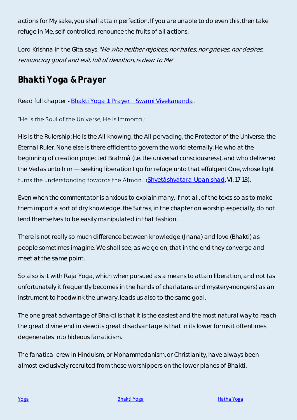actions for My sake, you shall attain perfection. If you are unable to do even this, then take refuge in Me, self-controlled, renounce the fruits of all actions.

Lord Krishna in the Gita says, "He who neither rejoices, nor hates, nor grieves, nor desires, renouncing good and evil, full of devotion, is dear to Me"

# <span id="page-5-0"></span>**Bhakti Yoga & Prayer**

Read full chapter - Bhakti Yoga 1: Prayer - Swami Vivekananda.

"He is the Soul of the Universe; He is Immortal;

His is the Rulership; He is the All-knowing, the All-pervading, the Protector of the Universe, the Eternal Ruler. None else is there efficient to govern the world eternally. He who at the beginning of creation projected Brahmâ (i.e. the universal consciousness), and who delivered the Vedas unto him — seeking liberation I go for refuge unto that effulgent One, whose light turns the understanding towards the Atman." (Shvetashvatara-Upanishad, VI. 17-18).

Even when the commentator is anxious to explain many, if not all, of the texts so as to make them import a sort of dry knowledge, the Sutras, in the chapter on worship especially, do not lend themselves to be easily manipulated in that fashion.

There is not really so much difference between knowledge (Jnana) and love (Bhakti) as people sometimes imagine. We shall see, as we go on, that in the end they converge and meet at the same point.

So also is it with Raja Yoga, which when pursued as a means to attain liberation, and not (as unfortunately it frequently becomes in the hands of charlatans and mystery-mongers) as an instrument to hoodwink the unwary, leads us also to the same goal.

The one great advantage of Bhakti is that it is the easiest and the most natural way to reach the great divine end in view; its great disadvantage is that in its lower forms it oftentimes degenerates into hideous fanaticism.

The fanatical crew in Hinduism, or Mohammedanism, or Christianity, have always been almost exclusively recruited from these worshippers on the lower planes of Bhakti.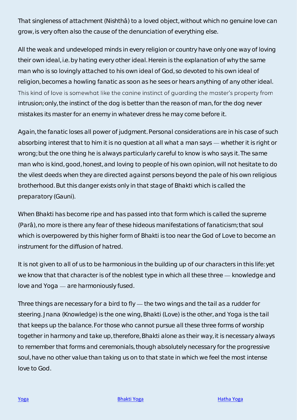That singleness of attachment (Nishthâ) to a loved object, without which no genuine love can grow, is very often also the cause of the denunciation of everything else.

All the weak and undeveloped minds in every religion or country have only one way of loving their own ideal, i.e. by hating every other ideal. Herein is the explanation of why the same man who is so lovingly attached to his own ideal of God, so devoted to his own ideal of religion, becomes a howling fanatic as soon as he sees or hears anything of any other ideal. This kind of love is somewhat like the canine instinct of quarding the master's property from intrusion; only, the instinct of the dog is better than the reason of man, for the dog never mistakes its master for an enemy in whatever dress he may come before it.

Again, the fanatic loses all power of judgment. Personal considerations are in his case of such absorbing interest that to him it is no question at all what a man says — whether it is right or wrong; but the one thing he is always particularly careful to know is who says it. The same man who is kind, good, honest, and loving to people of his own opinion, will not hesitate to do the vilest deeds when they are directed against persons beyond the pale of his own religious brotherhood. But this danger exists only in that stage of Bhakti which is called the preparatory (Gauni).

When Bhakti has become ripe and has passed into that form which is called the supreme (Parâ), no more is there any fear of these hideous manifestations of fanaticism; that soul which is overpowered by this higher form of Bhakti is too near the God of Love to become an instrument for the diffusion of hatred.

It is not given to all of us to be harmonious in the building up of our characters in this life: yet we know that that character is of the noblest type in which all these three — knowledge and love and Yoga — are harmoniously fused.

Three things are necessary for a bird to fly  $-$  the two wings and the tail as a rudder for steering. Jnana (Knowledge) is the one wing, Bhakti (Love) is the other, and Yoga is the tail that keeps up the balance. For those who cannot pursue all these three forms of worship together in harmony and take up, therefore, Bhakti alone as their way, it is necessary always to remember that forms and ceremonials, though absolutely necessary for the progressive soul, have no other value than taking us on to that state in which we feel the most intense love to God.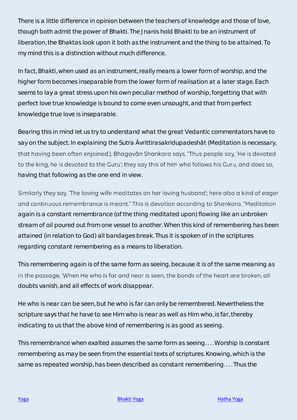There is a little difference in opinion between the teachers of knowledge and those of love, though both admit the power of Bhakti. The Jnanis hold Bhakti to be an instrument of liberation, the Bhaktas look upon it both as the instrument and the thing to be attained. To my mind this is a distinction without much difference.

In fact, Bhakti, when used as an instrument, really means a lower form of worship, and the higher form becomes inseparable from the lower form of realisation at a later stage. Each seems to lay a great stress upon his own peculiar method of worship, forgetting that with perfect love true knowledge is bound to come even unsought, and that from perfect knowledge true love is inseparable.

Bearing this in mind let us try to understand what the great Vedantic commentators have to say on the subject. In explaining the Sutra Âvrittirasakridupadeshât (Meditation is necessary, that having been often enjoined.), Bhagavân Shankara says, "Thus people say, 'He is devoted to the king, he is devoted to the Guru'; they say this of him who follows his Guru, and does so, having that following as the one end in view.

Similarly they say, 'The loving wife meditates on her loving husband'; here also a kind of eager and continuous remembrance is meant." This is devotion according to Shankara. "Meditation again is a constant remembrance (of the thing meditated upon) flowing like an unbroken stream of oil poured out from one vessel to another. When this kind of remembering has been attained (in relation to God) all bandages break. Thus it is spoken of in the scriptures regarding constant remembering as a means to liberation.

This remembering again is of the same form as seeing, because it is of the same meaning as in the passage, 'When He who is far and near is seen, the bonds of the heart are broken, all doubts vanish, and all effects of work disappear.

He who is near can be seen, but he who is far can only be remembered. Nevertheless the scripture says that he have to see Him who is near as well as Him who, is far, thereby indicating to us that the above kind of remembering is as good as seeing.

This remembrance when exalted assumes the same form as seeing. . . . Worship is constant remembering as may be seen from the essential texts of scriptures. Knowing, which is the same as repeated worship, has been described as constant remembering. . . . Thus the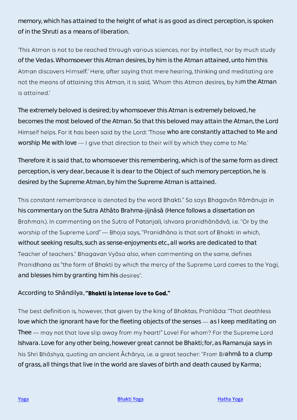memory, which has attained to the height of what is as good as direct perception, is spoken of in the Shruti as a means of liberation.

'This Atman is not to be reached through various sciences, nor by intellect, nor by much study of the Vedas. Whomsoever this Atman desires, by him is the Atman attained, unto him this Atman discovers Himself.' Here, after saying that mere hearing, thinking and meditating are not the means of attaining this Atman, it is said, 'Whom this Atman desires, by him the Atman is attained.'

The extremely beloved is desired; by whomsoever this Atman is extremely beloved, he becomes the most beloved of the Atman. So that this beloved may attain the Atman, the Lord Himself helps. For it has been said by the Lord: 'Those who are constantly attached to Me and worship Me with love  $-1$  give that direction to their will by which they come to Me.

Therefore it is said that, to whomsoever this remembering, which is of the same form as direct perception, is very dear, because it is dear to the Object of such memory perception, he is desired by the Supreme Atman, by him the Supreme Atman is attained.

This constant remembrance is denoted by the word Bhakti." So says Bhagavân Râmânuja in his commentary on the Sutra Athâto Brahma-jijnâsâ (Hence follows a dissertation on Brahman.). In commenting on the Sutra of Patanjali, Ishvara pranidhânâdvâ, i.e. "Or by the worship of the Supreme Lord" — Bhoja says, "Pranidhâna is that sort of Bhakti in which, without seeking results, such as sense-enjoyments etc., all works are dedicated to that Teacher of teachers." Bhagavan Vyâsa also, when commenting on the same, defines Pranidhana as "the form of Bhakti by which the mercy of the Supreme Lord comes to the Yogi, and blesses him by granting him his desires".

#### According to Shândilya, "Bhakti is intense love to God."

The best definition is, however, that given by the king of Bhaktas, Prahlâda: "That deathless love which the ignorant have for the fleeting objects of the senses — as I keep meditating on Thee — may not that love slip away from my heart!" Love! For whom? For the Supreme Lord Ishvara. Love for any other being, however great cannot be Bhakti; for, as Ramanuja says in his Shri Bhâshya, quoting an ancient Âchârya, i.e. a great teacher: "From Brahmâ to a clump of grass, all things that live in the world are slaves of birth and death caused by Karma;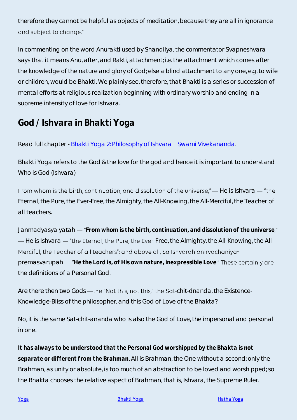therefore they cannot be helpful as objects of meditation, because they are all in ignorance and subject to change."

In commenting on the word Anurakti used by Shandilya, the commentator Svapneshvara says that it means Anu, after, and Rakti, attachment; i.e. the attachment which comes after the knowledge of the nature and glory of God; else a blind attachment to any one, e.g. to wife or children, would be Bhakti. We plainly see, therefore, that Bhakti is a series or succession of mental efforts at religious realization beginning with ordinary worship and ending in a supreme intensity of love for Ishvara.

# <span id="page-9-0"></span>**God / Ishvara in Bhakti Yoga**

Read full chapter - Bhakti Yoga 2: Philosophy of Ishvara - Swami Vivekananda.

Bhakti Yoga refers to the God & the love for the god and hence it is important to understand Who is God (Ishvara)

From whom is the birth, continuation, and dissolution of the universe,"  $-$  He is Ishvara  $-$  "the Eternal, the Pure, the Ever-Free, the Almighty, the All-Knowing, the All-Merciful, the Teacher of all teachers.

Janmadyasya yatah — "From whom is the birth, continuation, and dissolution of the universe," - He is Ishvara - "the Eternal, the Pure, the Ever-Free, the Almighty, the All-Knowing, the All-Merciful, the Teacher of all teachers"; and above all, Sa Ishvarah anirvachaniyapremasvarupah  $-$  "He the Lord is, of His own nature, inexpressible Love." These certainly are the definitions of a Personal God.

Are there then two Gods -- the "Not this, not this," the Sat-chit-dnanda, the Existence-Knowledge-Bliss of the philosopher, and this God of Love of the Bhakta?

No, it is the same Sat-chit-ananda who is also the God of Love, the impersonal and personal in one.

**It has always to be understood that the Personal God worshipped by the Bhakta is not separate or different from the Brahman**. All is Brahman, the One without a second; only the Brahman, as unity or absolute, is too much of an abstraction to be loved and worshipped; so the Bhakta chooses the relative aspect of Brahman, that is, Ishvara, the Supreme Ruler.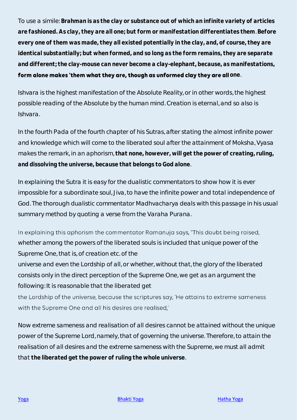To use a simile: **Brahman is as the clay or substance out of which an infinite variety of articles are fashioned. As clay, they are all one; but form or manifestation differentiates them**. **Before every one of them was made, they all existed potentially in the clay, and, of course, they are identical substantially; but when formed, and so long as the form remains, they are separate and different; the clay-mouse can never become a clay-elephant, because, as manifestations,** 

#### form alone makes 'them what they are, though as unformed clay they are all **one**.

Ishvara is the highest manifestation of the Absolute Reality, or in other words, the highest possible reading of the Absolute by the human mind. Creation is eternal, and so also is Ishvara.

In the fourth Pada of the fourth chapter of his Sutras, after stating the almost infinite power and knowledge which will come to the liberated soul after the attainment of Moksha, Vyasa makes the remark, in an aphorism, **that none, however, will get the power of creating, ruling, and dissolving the universe, because that belongs to God alone**.

In explaining the Sutra it is easy for the dualistic commentators to show how it is ever impossible for a subordinate soul, Jiva, to have the infinite power and total independence of God. The thorough dualistic commentator Madhvacharya deals with this passage in his usual summary method by quoting a verse from the Varaha Purana.

In explaining this aphorism the commentator Ramanuja says, "This doubt being raised, whether among the powers of the liberated souls is included that unique power of the Supreme One, that is, of creation etc. of the

universe and even the Lordship of all, or whether, without that, the glory of the liberated consists only in the direct perception of the Supreme One, we get as an argument the following: It is reasonable that the liberated get

the Lordship of the universe, because the scriptures say, 'He attains to extreme sameness with the Supreme One and all his desires are realised,'

Now extreme sameness and realisation of all desires cannot be attained without the unique power of the Supreme Lord, namely, that of governing the universe. Therefore, to attain the realisation of all desires and the extreme sameness with the Supreme, we must all admit that **the liberated get the power of ruling the whole universe**.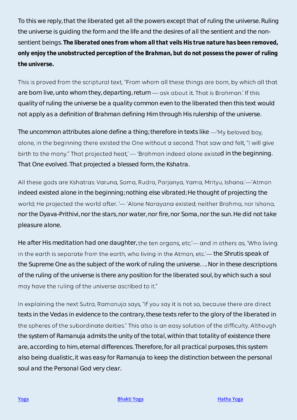To this we reply, that the liberated get all the powers except that of ruling the universe. Ruling the universe is guiding the form and the life and the desires of all the sentient and the nonsentient beings. **The liberated ones from whom all that veils His true nature has been removed, only enjoy the unobstructed perception of the Brahman, but do not possess the power of ruling the universe.**

This is proved from the scriptural text, "From whom all these things are born, by which all that are born live, unto whom they, departing, return — ask about it. That is Brahman.' If this quality of ruling the universe be a quality common even to the liberated then this text would not apply as a definition of Brahman defining Him through His rulership of the universe.

The uncommon attributes alone define a thing; therefore in texts like —'My beloved boy, alone, in the beginning there existed the One without a second. That saw and felt, "I will give birth to the many." That projected heat,' — 'Brahman indeed alone existed in the beginning. That One evolved. That projected a blessed form, the Kshatra.

All these gods are Kshatras: Varuna, Soma, Rudra, Parjanya, Yama, Mrityu, Ishana.'—'Atman indeed existed alone in the beginning; nothing else vibrated; He thought of projecting the world; He projected the world after. '- 'Alone Narayana existed; neither Brahma, nor Ishana, nor the Dyava-Prithivi, nor the stars, nor water, nor fire, nor Soma, nor the sun. He did not take pleasure alone.

He after His meditation had one daughter, the ten organs, etc. - and in others as, 'Who living in the earth is separate from the earth, who living in the Atman, etc.'— the Shrutis speak of the Supreme One as the subject of the work of ruling the universe. . .. Nor in these descriptions of the ruling of the universe is there any position for the liberated soul, by which such a soul may have the ruling of the universe ascribed to it."

In explaining the next Sutra, Ramanuja says, "If you say it is not so, because there are direct texts in the Vedas in evidence to the contrary, these texts refer to the glory of the liberated in the spheres of the subordinate deities." This also is an easy solution of the difficulty. Although the system of Ramanuja admits the unity of the total, within that totality of existence there are, according to him, eternal differences. Therefore, for all practical purposes, this system also being dualistic, it was easy for Ramanuja to keep the distinction between the personal soul and the Personal God very clear.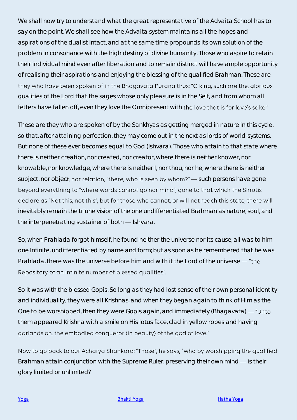We shall now try to understand what the great representative of the Advaita School has to say on the point. We shall see how the Advaita system maintains all the hopes and aspirations of the dualist intact, and at the same time propounds its own solution of the problem in consonance with the high destiny of divine humanity. Those who aspire to retain their individual mind even after liberation and to remain distinct will have ample opportunity of realising their aspirations and enjoying the blessing of the qualified Brahman. These are they who have been spoken of in the Bhagavata Purana thus: "O king, such are the, glorious qualities of the Lord that the sages whose only pleasure is in the Self, and from whom all fetters have fallen off, even they love the Omnipresent with the love that is for love's sake."

These are they who are spoken of by the Sankhyas as getting merged in nature in this cycle, so that, after attaining perfection, they may come out in the next as lords of world-systems. But none of these ever becomes equal to God (Ishvara). Those who attain to that state where there is neither creation, nor created, nor creator, where there is neither knower, nor knowable, nor knowledge, where there is neither I, nor thou, nor he, where there is neither subject, nor object, nor relation, "there, who is seen by whom?" - such persons have gone beyond everything to "where words cannot go nor mind", gone to that which the Shrutis declare as "Not this, not this"; but for those who cannot, or will not reach this state, there will inevitably remain the triune vision of the one undifferentiated Brahman as nature, soul, and the interpenetrating sustainer of both  $-$  Ishvara.

So, when Prahlada forgot himself, he found neither the universe nor its cause; all was to him one Infinite, undifferentiated by name and form; but as soon as he remembered that he was Prahlada, there was the universe before him and with it the Lord of the universe Repository of an infinite number of blessed qualities".

So it was with the blessed Gopis. So long as they had lost sense of their own personal identity and individuality, they were all Krishnas, and when they began again to think of Him as the One to be worshipped, then they were Gopis again, and immediately (Bhagavata) them appeared Krishna with a smile on His lotus face, clad in yellow robes and having garlands on, the embodied conqueror (in beauty) of the god of love."

Now to go back to our Acharya Shankara: "Those", he says, "who by worshipping the qualified Brahman attain conjunction with the Supreme Ruler, preserving their own mind  $-$  is their glory limited or unlimited?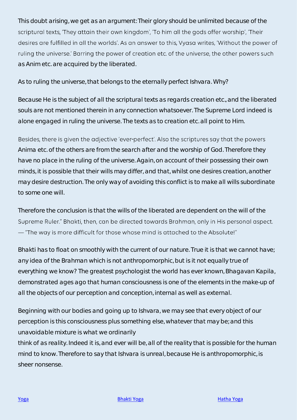This doubt arising, we get as an argument: Their glory should be unlimited because of the scriptural texts, 'They attain their own kingdom', 'To him all the gods offer worship', 'Their desires are fulfilled in all the worlds'. As an answer to this, Vyasa writes, 'Without the power of ruling the universe.' Barring the power of creation etc. of the universe, the other powers such as Anim etc. are acquired by the liberated.

As to ruling the universe, that belongs to the eternally perfect Ishvara. Why?

Because He is the subject of all the scriptural texts as regards creation etc., and the liberated souls are not mentioned therein in any connection whatsoever. The Supreme Lord indeed is alone engaged in ruling the universe. The texts as to creation etc. all point to Him.

Besides, there is given the adjective 'ever-perfect'. Also the scriptures say that the powers Anima etc. of the others are from the search after and the worship of God. Therefore they have no place in the ruling of the universe. Again, on account of their possessing their own minds, it is possible that their wills may differ, and that, whilst one desires creation, another may desire destruction. The only way of avoiding this conflict is to make all wills subordinate to some one will.

Therefore the conclusion is that the wills of the liberated are dependent on the will of the Supreme Ruler." Bhakti, then, can be directed towards Brahman, only in His personal aspect. - "The way is more difficult for those whose mind is attached to the Absolute!"

Bhakti has to float on smoothly with the current of our nature. True it is that we cannot have; any idea of the Brahman which is not anthropomorphic, but is it not equally true of everything we know? The greatest psychologist the world has ever known, Bhagavan Kapila, demonstrated ages ago that human consciousness is one of the elements in the make-up of all the objects of our perception and conception, internal as well as external.

Beginning with our bodies and going up to Ishvara, we may see that every object of our perception is this consciousness plus something else, whatever that may be; and this unavoidable mixture is what we ordinarily

think of as reality. Indeed it is, and ever will be, all of the reality that is possible for the human mind to know. Therefore to say that Ishvara is unreal, because He is anthropomorphic, is sheer nonsense.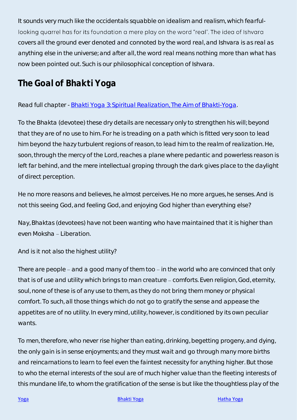It sounds very much like the occidentals squabble on idealism and realism, which fearfullooking quarrel has for its foundation a mere play on the word "real". The idea of Ishvara covers all the ground ever denoted and connoted by the word real, and Ishvara is as real as anything else in the universe; and after all, the word real means nothing more than what has now been pointed out. Such is our philosophical conception of Ishvara.

# <span id="page-14-0"></span>**The Goal of Bhakti Yoga**

Read full chapter - Bhakti Yoga 3: Spiritual [Realization, The Aim of Bhakti-Yoga.](https://worldyogaforum.com/2021/10/31/bhakti-yoga-3-the-aim-of-bhakti-yoga/)

To the Bhakta (devotee) these dry details are necessary only to strengthen his will; beyond that they are of no use to him. For he is treading on a path which is fitted very soon to lead him beyond the hazy turbulent regions of reason, to lead him to the realm of realization. He, soon, through the mercy of the Lord, reaches a plane where pedantic and powerless reason is left far behind, and the mere intellectual groping through the dark gives place to the daylight of direct perception.

He no more reasons and believes, he almost perceives. He no more argues, he senses. And is not this seeing God, and feeling God, and enjoying God higher than everything else?

Nay, Bhaktas (devotees) have not been wanting who have maintained that it is higher than even Moksha - Liberation.

And is it not also the highest utility?

There are people  $-$  and a good many of them too  $-$  in the world who are convinced that only that is of use and utility which brings to man creature – comforts. Even religion, God, eternity, soul, none of these is of any use to them, as they do not bring them money or physical comfort. To such, all those things which do not go to gratify the sense and appease the appetites are of no utility. In every mind, utility, however, is conditioned by its own peculiar wants.

To men, therefore, who never rise higher than eating, drinking, begetting progeny, and dying, the only gain is in sense enjoyments; and they must wait and go through many more births and reincarnations to learn to feel even the faintest necessity for anything higher. But those to who the eternal interests of the soul are of much higher value than the fleeting interests of this mundane life, to whom the gratification of the sense is but like the thoughtless play of the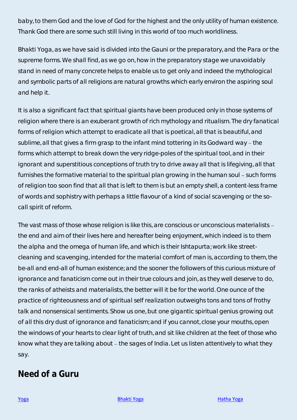baby, to them God and the love of God for the highest and the only utility of human existence. Thank God there are some such still living in this world of too much worldliness.

Bhakti Yoga, as we have said is divided into the Gauni or the preparatory, and the Para or the supreme forms. We shall find, as we go on, how in the preparatory stage we unavoidably stand in need of many concrete helps to enable us to get only and indeed the mythological and symbolic parts of all religions are natural growths which early environ the aspiring soul and help it.

It is also a significant fact that spiritual giants have been produced only in those systems of religion where there is an exuberant growth of rich mythology and ritualism. The dry fanatical forms of religion which attempt to eradicate all that is poetical, all that is beautiful, and sublime, all that gives a firm grasp to the infant mind tottering in its Godward way – the forms which attempt to break down the very ridge-poles of the spiritual tool, and in their ignorant and superstitious conceptions of truth try to drive away all that is lifegiving, all that furnishes the formative material to the spiritual plan growing in the human soul – such forms of religion too soon find that all that is left to them is but an empty shell, a content-less frame of words and sophistry with perhaps a little flavour of a kind of social scavenging or the socall spirit of reform.

The vast mass of those whose religion is like this, are conscious or unconscious materialists the end and aim of their lives here and hereafter being enjoyment, which indeed is to them the alpha and the omega of human life, and which is their Ishtapurta; work like streetcleaning and scavenging, intended for the material comfort of man is, according to them, the be-all and end-all of human existence; and the sooner the followers of this curious mixture of ignorance and fanaticism come out in their true colours and join, as they well deserve to do, the ranks of atheists and materialists, the better will it be for the world. One ounce of the practice of righteousness and of spiritual self realization outweighs tons and tons of frothy talk and nonsensical sentiments. Show us one, but one gigantic spiritual genius growing out of all this dry dust of ignorance and fanaticism; and if you cannot, close your mouths, open the windows of your hearts to clear light of truth, and sit like children at the feet of those who know what they are talking about – the sages of India. Let us listen attentively to what they say.

# <span id="page-15-0"></span>**Need of a Guru**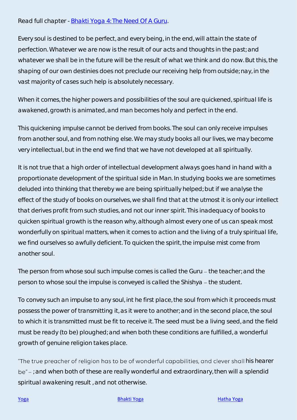#### Read full chapter - [Bhakti Yoga 4: The Need Of A Guru.](https://worldyogaforum.com/2021/10/31/bhakti-yoga-4-the-need-of-a-guru/)

Every soul is destined to be perfect, and every being, in the end, will attain the state of perfection. Whatever we are now is the result of our acts and thoughts in the past; and whatever we shall be in the future will be the result of what we think and do now. But this, the shaping of our own destinies does not preclude our receiving help from outside; nay, in the vast majority of cases such help is absolutely necessary.

When it comes, the higher powers and possibilities of the soul are quickened, spiritual life is awakened, growth is animated, and man becomes holy and perfect in the end.

This quickening impulse cannot be derived from books. The soul can only receive impulses from another soul, and from nothing else. We may study books all our lives, we may become very intellectual, but in the end we find that we have not developed at all spiritually.

It is not true that a high order of intellectual development always goes hand in hand with a proportionate development of the spiritual side in Man. In studying books we are sometimes deluded into thinking that thereby we are being spiritually helped; but if we analyse the effect of the study of books on ourselves, we shall find that at the utmost it is only our intellect that derives profit from such studies, and not our inner spirit. This inadequacy of books to quicken spiritual growth is the reason why, although almost every one of us can speak most wonderfully on spiritual matters, when it comes to action and the living of a truly spiritual life, we find ourselves so awfully deficient. To quicken the spirit, the impulse mist come from another soul.

The person from whose soul such impulse comes is called the Guru – the teacher; and the person to whose soul the impulse is conveyed is called the Shishya – the student.

To convey such an impulse to any soul, int he first place, the soul from which it proceeds must possess the power of transmitting it, as it were to another; and in the second place, the soul to which it is transmitted must be fit to receive it. The seed must be a living seed, and the field must be ready (to be) ploughed; and when both these conditions are fulfilled, a wonderful growth of genuine religion takes place.

"The true preacher of religion has to be of wonderful capabilities, and clever shall his hearer be" $-$ ; and when both of these are really wonderful and extraordinary, then will a splendid spiritual awakening result , and not otherwise.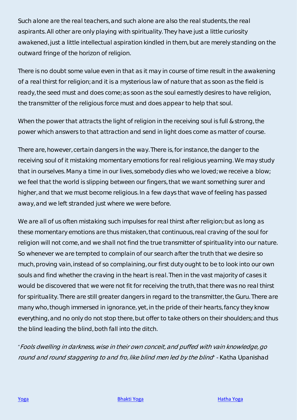Such alone are the real teachers, and such alone are also the real students, the real aspirants. All other are only playing with spirituality. They have just a little curiosity awakened, just a little intellectual aspiration kindled in them, but are merely standing on the outward fringe of the horizon of religion.

There is no doubt some value even in that as it may in course of time result in the awakening of a real thirst for religion; and it is a mysterious law of nature that as soon as the field is ready, the seed must and does come; as soon as the soul earnestly desires to have religion, the transmitter of the religious force must and does appear to help that soul.

When the power that attracts the light of religion in the receiving soul is full & strong, the power which answers to that attraction and send in light does come as matter of course.

There are, however, certain dangers in the way. There is, for instance, the danger to the receiving soul of it mistaking momentary emotions for real religious yearning. We may study that in ourselves. Many a time in our lives, somebody dies who we loved; we receive a blow; we feel that the world is slipping between our fingers, that we want something surer and higher, and that we must become religious. In a few days that wave of feeling has passed away, and we left stranded just where we were before.

We are all of us often mistaking such impulses for real thirst after religion; but as long as these momentary emotions are thus mistaken, that continuous, real craving of the soul for religion will not come, and we shall not find the true transmitter of spirituality into our nature. So whenever we are tempted to complain of our search after the truth that we desire so much, proving vain, instead of so complaining, our first duty ought to be to look into our own souls and find whether the craving in the heart is real. Then in the vast majority of cases it would be discovered that we were not fit for receiving the truth, that there was no real thirst for spirituality. There are still greater dangers in regard to the transmitter, the Guru. There are many who, though immersed in ignorance, yet, in the pride of their hearts, fancy they know everything, and no only do not stop there, but offer to take others on their shoulders; and thus the blind leading the blind, both fall into the ditch.

Fools dwelling in darkness, wise in their own conceit, and puffed with vain knowledge, go round and round staggering to and fro, like blind men led by the blind" - Katha Upanishad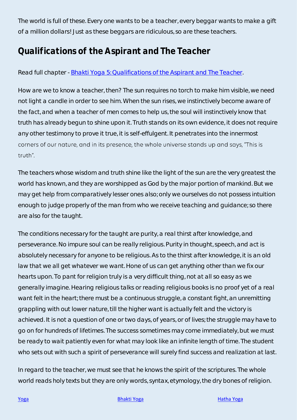The world is full of these. Every one wants to be a teacher, every beggar wants to make a gift of a million dollars! Just as these beggars are ridiculous, so are these teachers.

# <span id="page-18-0"></span>**Qualifications of the Aspirant and The Teacher**

#### Read full chapter - Bhakti Yoga [5: Qualifications of the Aspirant and The Teacher.](https://worldyogaforum.com/2021/10/31/bhakti-yoga-5-qualifications-of-the-aspirant-and-the-teacher/)

How are we to know a teacher, then? The sun requires no torch to make him visible, we need not light a candle in order to see him. When the sun rises, we instinctively become aware of the fact, and when a teacher of men comes to help us, the soul will instinctively know that truth has already begun to shine upon it. Truth stands on its own evidence, it does not require any other testimony to prove it true, it is self-effulgent. It penetrates into the innermost corners of our nature, and in its presence, the whole universe stands up and says, "This is truth".

The teachers whose wisdom and truth shine like the light of the sun are the very greatest the world has known, and they are worshipped as God by the major portion of mankind. But we may get help from comparatively lesser ones also; only we ourselves do not possess intuition enough to judge properly of the man from who we receive teaching and guidance; so there are also for the taught.

The conditions necessary for the taught are purity, a real thirst after knowledge, and perseverance. No impure soul can be really religious. Purity in thought, speech, and act is absolutely necessary for anyone to be religious. As to the thirst after knowledge, it is an old law that we all get whatever we want. Hone of us can get anything other than we fix our hearts upon. To pant for religion truly is a very difficult thing, not at all so easy as we generally imagine. Hearing religious talks or reading religious books is no proof yet of a real want felt in the heart; there must be a continuous struggle, a constant fight, an unremitting grappling with out lower nature, till the higher want is actually felt and the victory is achieved. It is not a question of one or two days, of years, or of lives; the struggle may have to go on for hundreds of lifetimes. The success sometimes may come immediately, but we must be ready to wait patiently even for what may look like an infinite length of time. The student who sets out with such a spirit of perseverance will surely find success and realization at last.

In regard to the teacher, we must see that he knows the spirit of the scriptures. The whole world reads holy texts but they are only words, syntax, etymology, the dry bones of religion.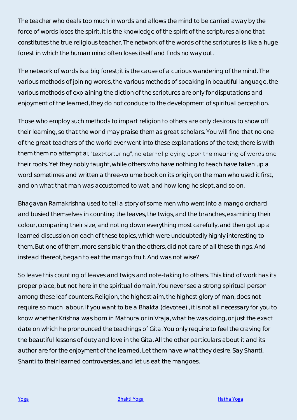The teacher who deals too much in words and allows the mind to be carried away by the force of words loses the spirit. It is the knowledge of the spirit of the scriptures alone that constitutes the true religious teacher. The network of the words of the scriptures is like a huge forest in which the human mind often loses itself and finds no way out.

The network of words is a big forest; it is the cause of a curious wandering of the mind. The various methods of joining words, the various methods of speaking in beautiful language, the various methods of explaining the diction of the scriptures are only for disputations and enjoyment of the learned, they do not conduce to the development of spiritual perception.

Those who employ such methods to impart religion to others are only desirous to show off their learning, so that the world may praise them as great scholars. You will find that no one of the great teachers of the world ever went into these explanations of the text; there is with them them no attempt at "text-torturing", no eternal playing upon the meaning of words and their roots. Yet they nobly taught, while others who have nothing to teach have taken up a word sometimes and written a three-volume book on its origin, on the man who used it first, and on what that man was accustomed to wat, and how long he slept, and so on.

Bhagavan Ramakrishna used to tell a story of some men who went into a mango orchard and busied themselves in counting the leaves, the twigs, and the branches, examining their colour, comparing their size, and noting down everything most carefully, and then got up a learned discussion on each of these topics, which were undoubtedly highly interesting to them. But one of them, more sensible than the others, did not care of all these things. And instead thereof, began to eat the mango fruit. And was not wise?

So leave this counting of leaves and twigs and note-taking to others. This kind of work has its proper place, but not here in the spiritual domain. You never see a strong spiritual person among these leaf counters. Religion, the highest aim, the highest glory of man, does not require so much labour. If you want to be a Bhakta (devotee) , it is not all necessary for you to know whether Krishna was born in Mathura or in Vraja, what he was doing, or just the exact date on which he pronounced the teachings of Gita. You only require to feel the craving for the beautiful lessons of duty and love in the Gita. All the other particulars about it and its author are for the enjoyment of the learned. Let them have what they desire. Say Shanti, Shanti to their learned controversies, and let us eat the mangoes.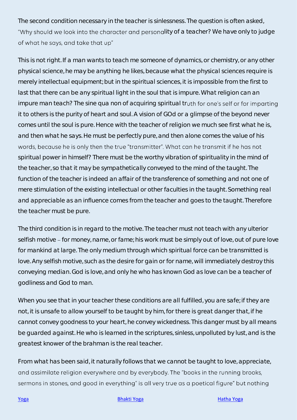The second condition necessary in the teacher is sinlessness. The question is often asked, "Why should we look into the character and personality of a teacher? We have only to judge of what he says, and take that up"

This is not right. If a man wants to teach me someone of dynamics, or chemistry, or any other physical science, he may be anything he likes, because what the physical sciences require is merely intellectual equipment; but in the spiritual sciences, it is impossible from the first to last that there can be any spiritual light in the soul that is impure. What religion can an impure man teach? The sine qua non of acquiring spiritual truth for one's self or for imparting it to others is the purity of heart and soul. A vision of GOd or a glimpse of the beyond never comes until the soul is pure. Hence with the teacher of religion we much see first what he is, and then what he says. He must be perfectly pure, and then alone comes the value of his words, because he is only then the true "transmitter". What can he transmit if he has not spiritual power in himself? There must be the worthy vibration of spirituality in the mind of the teacher, so that it may be sympathetically conveyed to the mind of the taught. The function of the teacher is indeed an affair of the transference of something and not one of mere stimulation of the existing intellectual or other faculties in the taught. Something real and appreciable as an influence comes from the teacher and goes to the taught. Therefore the teacher must be pure.

The third condition is in regard to the motive. The teacher must not teach with any ulterior selfish motive – for money, name, or fame; his work must be simply out of love, out of pure love for mankind at large. The only medium through which spiritual force can be transmitted is love. Any selfish motive, such as the desire for gain or for name, will immediately destroy this conveying median. God is love, and only he who has known God as love can be a teacher of godliness and God to man.

When you see that in your teacher these conditions are all fulfilled, you are safe; if they are not, it is unsafe to allow yourself to be taught by him, for there is great danger that, if he cannot convey goodness to your heart, he convey wickedness. This danger must by all means be guarded against. He who is learned in the scriptures, sinless, unpolluted by lust, and is the greatest knower of the brahman is the real teacher.

From what has been said, it naturally follows that we cannot be taught to love, appreciate, and assimilate religion everywhere and by everybody. The "books in the running brooks, sermons in stones, and good in everything" is all very true as a poetical figure" but nothing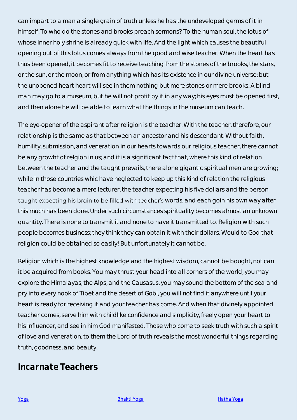can impart to a man a single grain of truth unless he has the undeveloped germs of it in himself. To who do the stones and brooks preach sermons? To the human soul, the lotus of whose inner holy shrine is already quick with life. And the light which causes the beautiful opening out of this lotus comes always from the good and wise teacher. When the heart has thus been opened, it becomes fit to receive teaching from the stones of the brooks, the stars, or the sun, or the moon, or from anything which has its existence in our divine universe; but the unopened heart heart will see in them nothing but mere stones or mere brooks. A blind man may go to a museum, but he will not profit by it in any way; his eyes must be opened first, and then alone he will be able to learn what the things in the museum can teach.

The eye-opener of the aspirant after religion is the teacher. With the teacher, therefore, our relationship is the same as that between an ancestor and his descendant. Without faith, humility, submission, and veneration in our hearts towards our religious teacher, there cannot be any growht of relgion in us; and it is a significant fact that, where this kind of relation between the teacher and the taught prevails, there alone gigantic spiritual men are growing; while in those countries whic have neglected to keep up this kind of relation the religious teacher has become a mere lecturer, the teacher expecting his five dollars and the person taught expecting his brain to be filled with teacher's words, and each goin his own way after this much has been done. Under such circumstances spirituality becomes almost an unknown quantity. There is none to transmit it and none to have it transmitted to. Religion with such people becomes business; they think they can obtain it with their dollars. Would to God that religion could be obtained so easily! But unfortunately it cannot be.

Religion which is the highest knowledge and the highest wisdom, cannot be bought, not can it be acquired from books. You may thrust your head into all corners of the world, you may explore the Himalayas, the Alps, and the Causasus, you may sound the bottom of the sea and pry into every nook of Tibet and the desert of Gobi, you will not find it anywhere until your heart is ready for receiving it and your teacher has come. And when that divinely appointed teacher comes, serve him with childlike confidence and simplicity, freely open your heart to his influencer, and see in him God manifested. Those who come to seek truth with such a spirit of love and veneration, to them the Lord of truth reveals the most wonderful things regarding truth, goodness, and beauty.

# <span id="page-21-0"></span>**Incarnate Teachers**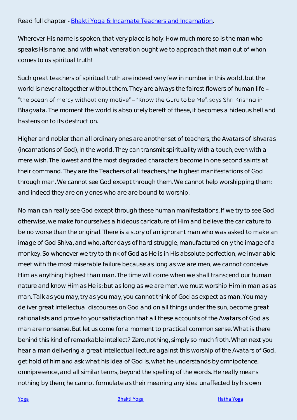Wherever His name is spoken, that very place is holy. How much more so is the man who speaks His name, and with what veneration ought we to approach that man out of whon comes to us spiritual truth!

Such great teachers of spiritual truth are indeed very few in number in this world, but the world is never altogether without them. They are always the fairest flowers of human life -"the ocean of mercy without any motive" - "Know the Guru to be Me", says Shri Krishna in Bhagvata. The moment the world is absolutely bereft of these, it becomes a hideous hell and hastens on to its destruction.

Higher and nobler than all ordinary ones are another set of teachers, the Avatars of Ishvaras (incarnations of God), in the world. They can transmit spirituality with a touch, even with a mere wish. The lowest and the most degraded characters become in one second saints at their command. They are the Teachers of all teachers, the highest manifestations of God through man. We cannot see God except through them. We cannot help worshipping them; and indeed they are only ones who are are bound to worship.

No man can really see God except through these human manifestations. If we try to see God otherwise, we make for ourselves a hideous caricature of Him and believe the caricature to be no worse than the original. There is a story of an ignorant man who was asked to make an image of God Shiva, and who, after days of hard struggle, manufactured only the image of a monkey. So whenever we try to think of God as He is in His absolute perfection, we invariable meet with the most miserable failure because as long as we are men, we cannot conceive Him as anything highest than man. The time will come when we shall transcend our human nature and know Him as He is; but as long as we are men, we must worship Him in man as as man. Talk as you may, try as you may, you cannot think of God as expect as man. You may deliver great intellectual discourses on God and on all things under the sun, become great rationalists and prove to your satisfaction that all these accounts of the Avatars of God as man are nonsense. But let us come for a moment to practical common sense. What is there behind this kind of remarkable intellect? Zero, nothing, simply so much froth. When next you hear a man delivering a great intellectual lecture against this worship of the Avatars of God, get hold of him and ask what his idea of God is, what he understands by omnipotence, omnipresence, and all similar terms, beyond the spelling of the words. He really means nothing by them; he cannot formulate as their meaning any idea unaffected by his own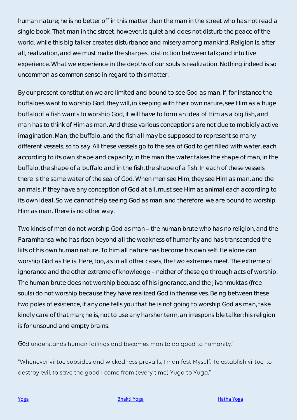human nature; he is no better off in this matter than the man in the street who has not read a single book. That man in the street, however, is quiet and does not disturb the peace of the world, while this big talker creates disturbance and misery among mankind. Religion is, after all, realization, and we must make the sharpest distinction between talk; and intuitive experience. What we experience in the depths of our souls is realization. Nothing indeed is so uncommon as common sense in regard to this matter.

By our present constitution we are limited and bound to see God as man. If, for instance the buffaloes want to worship God, they will, in keeping with their own nature, see Him as a huge buffalo; if a fish wants to worship God, it will have to form an idea of Him as a big fish, and man has to think of Him as man. And these various conceptions are not due to mobidly active imagination. Man, the buffalo, and the fish all may be supposed to represent so many different vessels, so to say. All these vessels go to the sea of God to get filled with water, each according to its own shape and capacity; in the man the water takes the shape of man, in the buffalo, the shape of a buffalo and in the fish, the shape of a fish. In each of these vessels there is the same water of the sea of God. When men see Him, they see Him as man, and the animals, if they have any conception of God at all, must see Him as animal each according to its own ideal. So we cannot help seeing God as man, and therefore, we are bound to worship Him as man. There is no other way.

Two kinds of men do not worship God as man - the human brute who has no religion, and the Paramhansa who has risen beyond all the weakness of humanity and has transcended the liits of his own human nature. To him all nature has become his own self. He alone can worship God as He is. Here, too, as in all other cases, the two extremes meet. The extreme of ignorance and the other extreme of knowledge – neither of these go through acts of worship. The human brute does not worship becuase of his ignorance, and the Jivanmuktas (free souls) do not worship because they have realized God in themselves. Being between these two poles of existence, if any one tells you that he is not going to worship God as man, take kindly care of that man; he is, not to use any harsher term, an irresponsible talker; his religion is for unsound and empty brains.

God understands human failings and becomes man to do good to humanity."

"Whenever virtue subsides and wickedness prevails, I manifest Myself. To establish virtue, to destroy evil, to save the good I come from (every time) Yuga to Yuga."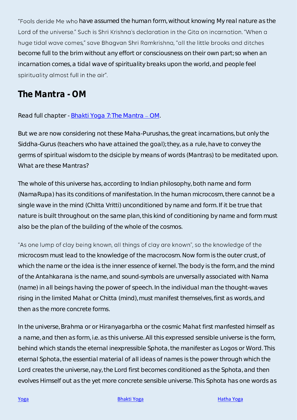"Fools deride Me who have assumed the human form, without knowing My real nature as the Lord of the universe." Such is Shri Krishna's declaration in the Gita on incarnation. "When a huge tidal wave comes," save Bhagyan Shri Ramkrishna, "all the little brooks and ditches become full to the brim without any effort or consciousness on their own part; so when an incarnation comes, a tidal wave of spirituality breaks upon the world, and people feel spirituality almost full in the air".

# <span id="page-24-0"></span>**The Mantra - OM**

Read full chapter - Bhakti Yoga 7: The Mantra - OM.

But we are now considering not these Maha-Purushas, the great incarnations, but only the Siddha-Gurus (teachers who have attained the goal); they, as a rule, have to convey the germs of spiritual wisdom to the dsiciple by means of words (Mantras) to be meditated upon. What are these Mantras?

The whole of this universe has, according to Indian philosophy, both name and form (NamaRupa) has its conditions of manifestation. In the human microcosm, there cannot be a single wave in the mind (Chitta Vritti) unconditioned by name and form. If it be true that nature is built throughout on the same plan, this kind of conditioning by name and form must also be the plan of the building of the whole of the cosmos.

"As one lump of clay being known, all things of clay are known", so the knowledge of the microcosm must lead to the knowledge of the macrocosm. Now form is the outer crust, of which the name or the idea is the inner essence of kernel. The body is the form, and the mind of the Antahkarana is the name, and sound-symbols are unversally associated with Nama (name) in all beings having the power of speech. In the individual man the thought-waves rising in the limited Mahat or Chitta (mind), must manifest themselves, first as words, and then as the more concrete forms.

In the universe, Brahma or or Hiranyagarbha or the cosmic Mahat first manfested himself as a name, and then as form, i.e. as this universe. All this expressed sensible universe is the form, behind which stands the eternal inexpressible Sphota, the manifester as Logos or Word. This eternal Sphota, the essential material of all ideas of names is the power through which the Lord creates the universe, nay, the Lord first becomes conditioned as the Sphota, and then evolves Himself out as the yet more concrete sensible universe. This Sphota has one words as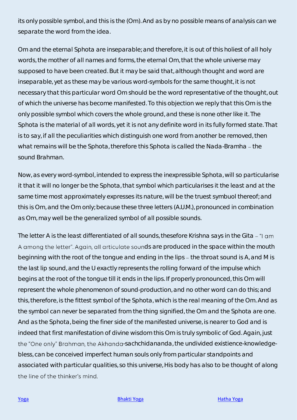its only possible symbol, and this is the (Om). And as by no possible means of analysis can we separate the word from the idea.

Om and the eternal Sphota are inseparable; and therefore, it is out of this holiest of all holy words, the mother of all names and forms, the eternal Om, that the whole universe may supposed to have been created. But it may be said that, although thought and word are inseparable, yet as these may be various word-symbols for the same thought, it is not necessary that this particular word Om should be the word representative of the thought, out of which the universe has become manifested. To this objection we reply that this Om is the only possible symbol which covers the whole ground, and these is none other like it. The Sphota is the material of all words, yet it is not any definite word in its fully formed state. That is to say, if all the peculiarities which distinguish one word from another be removed, then what remains will be the Sphota, therefore this Sphota is called the Nada-Bramha - the sound Brahman.

Now, as every word-symbol, intended to express the inexpressible Sphota, will so particularise it that it will no longer be the Sphota, that symbol which particularises it the least and at the same time most approximately expresses its nature, will be the truest symbuol thereof; and this is Om, and the Om only; because these three letters (A.U.M.), pronounced in combination as Om, may well be the generalized symbol of all possible sounds.

The letter A is the least differentiated of all sounds, thesefore Krishna says in the Gita A among the letter". Again, all articulate sounds are produced in the space within the mouth beginning with the root of the tongue and ending in the lips - the throat sound is A, and M is the last lip sound, and the U exactly represents the rolling forward of the impulse which begins at the root of the tongue till it ends in the lips. If properly pronounced, this Om will represent the whole phenomenon of sound-production, and no other word can do this; and this, therefore, is the fittest symbol of the Sphota, which is the real meaning of the Om. And as the symbol can never be separated from the thing signified, the Om and the Sphota are one. And as the Sphota, being the finer side of the manifested universe, is nearer to God and is indeed that first manifestation of divine wisdom this Om is truly symbolic of God. Again, just the "One only" Brahman, the Akhanda-sachchidananda, the undivided existience-knowledgebless, can be conceived imperfect human souls only from particular standpoints and associated with particular qualities, so this universe, His body has also to be thought of along the line of the thinker's mind.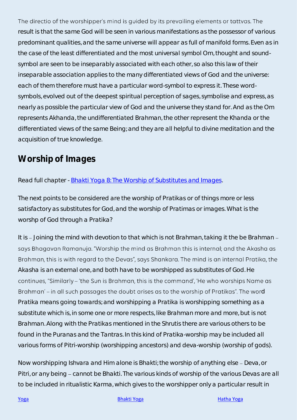The directio of the worshipper's mind is guided by its prevailing elements or tattvas. The result is that the same God will be seen in various manifestations as the possessor of various predominant qualities, and the same universe will appear as full of manifold forms. Even as in the case of the least differentiated and the most universal symbol Om, thought and soundsymbol are seen to be inseparably associated with each other, so also this law of their inseparable association applies to the many differentiated views of God and the universe: each of them therefore must have a particular word-symbol to express it. These wordsymbols, evolved out of the deepest spiritual perception of sages, symbolise and express, as nearly as possible the particular view of God and the universe they stand for. And as the Om represents Akhanda, the undifferentiated Brahman, the other represent the Khanda or the differentiated views of the same Being; and they are all helpful to divine meditation and the acquisition of true knowledge.

# <span id="page-26-0"></span>**Worship of Images**

### Read full chapter - [Bhakti Yoga 8: The Worship of Substitutes and Images.](https://worldyogaforum.com/2021/10/31/bhakti-yoga-8-the-worship-of-substitutes-and-images/)

The next points to be considered are the worship of Pratikas or of things more or less satisfactory as substitutes for God, and the worship of Pratimas or images. What is the worshp of God through a Pratika?

It is - Joining the mind with devotion to that which is not Brahman, taking it the be Brahman says Bhagavan Ramanuja. "Worship the mind as Brahman this is internal; and the Akasha as Brahman, this is with regard to the Devas", says Shankara. The mind is an internal Pratika, the Akasha is an external one, and both have to be worshipped as substitutes of God. He continues, "Similarly – 'the Sun is Brahman, this is the command', 'He who worships Name as Brahman' – in all such passages the doubt arises as to the worship of Pratikas". The word Pratika means going towards; and worshipping a Pratika is worshipping something as a substitute which is, in some one or more respects, like Brahman more and more, but is not Brahman. Along with the Pratikas mentioned in the Shrutis there are various others to be found in the Puranas and the Tantras. In this kind of Pratika-worship may be included all various forms of Pitri-worship (worshipping ancestors) and deva-worship (worship of gods).

Now worshipping Ishvara and Him alone is Bhakti; the worship of anything else - Deva, or Pitri, or any being – cannot be Bhakti. The various kinds of worship of the various Devas are all to be included in ritualistic Karma, which gives to the worshipper only a particular result in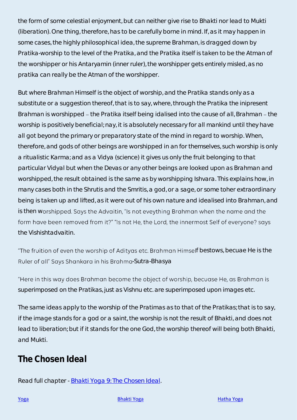the form of some celestial enjoyment, but can neither give rise to Bhakti nor lead to Mukti (liberation). One thing, therefore, has to be carefully borne in mind. If, as it may happen in some cases, the highly philosophical idea, the supreme Brahman, is dragged down by Pratika-worship to the level of the Pratika, and the Pratika itself is taken to be the Atman of the worshipper or his Antaryamin (inner ruler), the worshipper gets entirely misled, as no pratika can really be the Atman of the worshipper.

But where Brahman Himself is the object of worship, and the Pratika stands only as a substitute or a suggestion thereof, that is to say, where, through the Pratika the inipresent Brahman is worshipped - the Pratika itself being idalised into the cause of all, Brahman - the worship is positively beneficial; nay, it is absolutely necessary for all mankind until they have all got beyond the primary or preparatory state of the mind in regard to worship. When, therefore, and gods of other beings are worshipped in an for themselves, such worship is only a ritualistic Karma; and as a Vidya (science) it gives us only the fruit belonging to that particular Vidyal but when the Devas or any other beings are looked upon as Brahman and worshipped, the result obtained is the same as by worshipping Ishvara. This explains how, in many cases both in the Shrutis and the Smritis, a god, or a sage, or some toher extraordinary being is taken up and lifted, as it were out of his own nature and idealised into Brahman, and is then worshipped. Says the Advaitin, "Is not eveything Brahman when the name and the form have been removed from it?" "Is not He, the Lord, the innermost Self of everyone? says the Vishishtadvaitin.

"The fruition of even the worship of Adityas etc. Brahman Himself bestows, becuae He is the Ruler of all" Says Shankara in his Brahma-Sutra-Bhasya

"Here in this way does Brahman become the object of worship, becuase He, as Brahman is superimposed on the Pratikas, just as Vishnu etc. are superimposed upon images etc.

The same ideas apply to the worship of the Pratimas as to that of the Pratikas; that is to say, if the image stands for a god or a saint, the worship is not the result of Bhakti, and does not lead to liberation; but if it stands for the one God, the worship thereof will being both Bhakti, and Mukti.

# <span id="page-27-0"></span>**The Chosen Ideal**

Read full chapter - [Bhakti Yoga 9: The Chosen Ideal.](https://worldyogaforum.com/2021/10/31/bhakti-yoga-9-the-chosen-ideal/)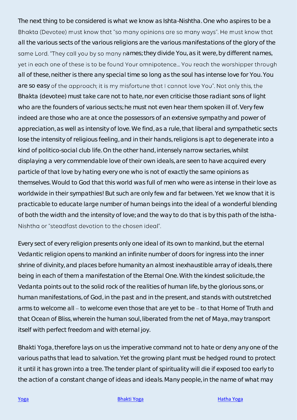The next thing to be considered is what we know as Ishta-Nishtha. One who aspires to be a Bhakta (Devotee) must know that "so many opinions are so many ways". He must know that all the various sects of the various religions are the various manifestations of the glory of the same Lord. "They call you by so many names; they divide You, as it were, by different names, yet in each one of these is to be found Your omnipotence... You reach the worshipper through all of these, neither is there any special time so long as the soul has intense love for You. You are so easy of the approach; it is my misfortune that I cannot love You". Not only this, the Bhakta (devotee) must take care not to hate, nor even criticise those radiant sons of light who are the founders of various sects; he must not even hear them spoken ill of. Very few indeed are those who are at once the possessors of an extensive sympathy and power of appreciation, as well as intensity of love. We find, as a rule, that liberal and sympathetic sects lose the intensity of religious feeling, and in their hands, religions is apt to degenerate into a kind of politico-social club life. On the other hand, intensely narrow sectaries, whilst displaying a very commendable love of their own ideals, are seen to have acquired every particle of that love by hating every one who is not of exactly the same opinions as themselves. Would to God that this world was full of men who were as intense in their love as worldwide in their sympathies! But such are only few and far between. Yet we know that it is practicable to educate large number of human beings into the ideal of a wonderful blending of both the width and the intensity of love; and the way to do that is by this path of the Istha-Nishtha or "steadfast devotion to the chosen ideal".

Every sect of every religion presents only one ideal of its own to mankind, but the eternal Vedantic religion opens to mankind an infinite number of doors for ingress into the inner shrine of divinity, and places before humanity an almost inexhaustible array of ideals, there being in each of them a manifestation of the Eternal One. With the kindest solicitude, the Vedanta points out to the solid rock of the realities of human life, by the glorious sons, or human manifestations, of God, in the past and in the present, and stands with outstretched arms to welcome all – to welcome even those that are yet to be – to that Home of Truth and that Ocean of Bliss, wherein the human soul, liberated from the net of Maya, may transport itself with perfect freedom and with eternal joy.

Bhakti Yoga, therefore lays on us the imperative command not to hate or deny any one of the various paths that lead to salvation. Yet the growing plant must be hedged round to protect it until it has grown into a tree. The tender plant of spirituality will die if exposed too early to the action of a constant change of ideas and ideals. Many people, in the name of what may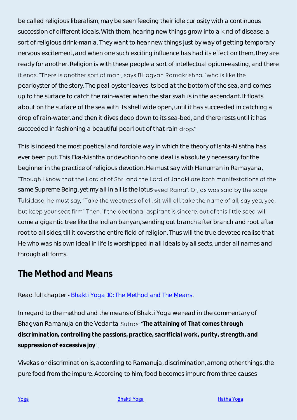be called religious liberalism, may be seen feeding their idle curiosity with a continuous succession of different ideals. With them, hearing new things grow into a kind of disease, a sort of religious drink-mania. They want to hear new things just by way of getting temporary nervous excitement, and when one such exciting influence has had its effect on them, they are ready for another. Religion is with these people a sort of intellectual opium-easting, and there it ends. "There is another sort of man", says BHagyan Ramakrishna. "who is like the pearloyster of the story. The peal-oyster leaves its bed at the bottom of the sea, and comes up to the surface to catch the rain-water when the star svati is in the ascendant. It floats about on the surface of the sea with its shell wide open, until it has succeeded in catching a drop of rain-water, and then it dives deep down to its sea-bed, and there rests until it has succeeded in fashioning a beautiful pearl out of that rain-drop."

This is indeed the most poetical and forcible way in which the theory of Ishta-Nishtha has ever been put. This Eka-Nishtha or devotion to one ideal is absolutely necessary for the beginner in the practice of religious devotion. He must say with Hanuman in Ramayana, "Though I know that the Lord of of Shri and the Lord of Janaki are both manifestations of the same Supreme Being, yet my all in all is the lotus-eyed Rama". Or, as was said by the sage Tulsidasa, he must say, "Take the weetness of all, sit will all, take the name of all, say yea, yea, but keep your seat firm" Then, if the deotional aspirant is sincere, out of this little seed will come a gigantic tree like the Indian banyan, sending out branch after branch and root after root to all sides, till it covers the entire field of religion. Thus will the true devotee realise that He who was his own ideal in life is worshipped in all ideals by all sects, under all names and through all forms.

# <span id="page-29-0"></span>**The Method and Means**

### Read full chapter - **[Bhakti Yoga 10: The Method and The Means.](https://worldyogaforum.com/2021/11/01/bhakti-yoga-10-the-method-and-the-means/)**

In regard to the method and the means of Bhakti Yoga we read in the commentary of Bhagvan Ramanuja on the Vedanta-Sutras: "The attaining of That comes through **discrimination, controlling the passions, practice, sacrificial work, purity, strength, and suppression of excessive joy**

Vivekas or discrimination is, according to Ramanuja, discrimination, among other things, the pure food from the impure. According to him, food becomes impure from three causes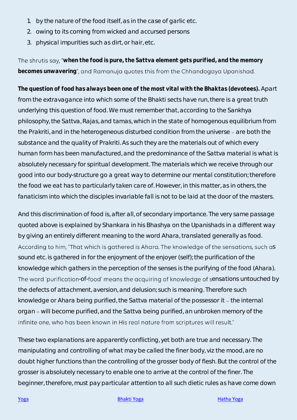- 1. by the nature of the food itself, as in the case of garlic etc.
- 2. owing to its coming from wicked and accursed persons
- 3. physical impurities such as dirt, or hair, etc.

The shrutis say, "when the food is pure, the Sattva element gets purified, and the memory **becomes unwavering**

**The question of food has always been one of the most vital with the Bhaktas (devotees).** Apart from the extravagance into which some of the Bhakti sects have run, there is a great truth underlying this question of food. We must remember that, according to the Sankhya philosophy, the Sattva, Rajas, and tamas, which in the state of homogenous equilibrium from the Prakriti, and in the heterogeneous disturbed condition from the universe - are both the substance and the quality of Prakriti. As such they are the materials out of which every human form has been manufactured, and the predominance of the Sattva material is what is absolutely necessary for spiritual development. The materials which we receive through our good into our body-structure go a great way to determine our mental constitution; therefore the food we eat has to particularly taken care of. However, in this matter, as in others, the fanaticism into which the disciples invariable fall is not to be laid at the door of the masters.

And this discrimination of food is, after all, of secondary importance. The very same passage quoted above is explained by Shankara in his Bhashya on the Upanishads in a different way by giving an entirely different meaning to the word Ahara, translated generally as food. According to him, "That which is gathered is Ahara. The knowledge of the sensations, such as sound etc. is gathered in for the enjoyment of the enjoyer (self); the purification of the knowledge which gathers in the perception of the senses is the purifying of the food (Ahara). The word 'purification-of-food' means the acquiring of knowledge of sensations untouched by the defects of attachment, aversion, and delusion; such is meaning. Therefore such knowledge or Ahara being purified, the Sattva material of the possessor it – the internal organ – will become purified, and the Sattva being purified, an unbroken memory of the infinite one, who has been known in His real nature from scriptures will result."

These two explanations are apparently conflicting, yet both are true and necessary. The manipulating and controlling of what may be called the finer body, viz the mood, are no doubt higher functions than the controlling of the grosser body of flesh. But the control of the grosser is absolutely necessary to enable one to arrive at the control of the finer. The beginner, therefore, must pay particular attention to all such dietic rules as have come down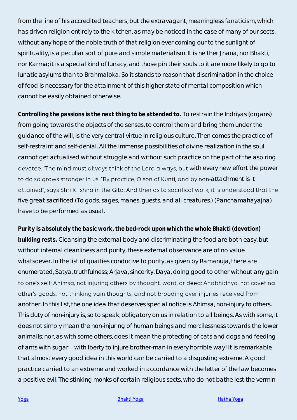from the line of his accredited teachers; but the extravagant, meaningless fanaticism, which has driven religion entirely to the kitchen, as may be noticed in the case of many of our sects, without any hope of the noble truth of that religion ever coming our to the sunlight of spirituality, is a peculiar sort of pure and simple materialism. It is neither Jnana, nor Bhakti, nor Karma; it is a special kind of lunacy, and those pin their souls to it are more likely to go to lunatic asylums than to Brahmaloka. So it stands to reason that discrimination in the choice of food is necessary for the attainment of this higher state of mental composition which cannot be easily obtained otherwise.

**Controlling the passions is the next thing to be attended to.** To restrain the Indriyas (organs) from going towards the objects of the senses, to control them and bring them under the guidance of the will, is the very central virtue in religious culture. Then comes the practice of self-restraint and self-denial. All the immense possibilities of divine realization in the soul cannot get actualised without struggle and without such practice on the part of the aspiring devotee. "The mind must always think of the Lord always, but with every new effort the power to do so grows stronger in us. "By practice, O son of Kunti, and by non-attachment is it attained", says Shri Krishna in the Gita. And then as to sacrifical work, it is understood that the five great sacrificed (To gods, sages, manes, guests, and all creatures.) (Panchamahayajna) have to be performed as usual.

**Purity is absolutely the basic work, the bed-rock upon which the whole Bhakti (devotion) building rests.** Cleansing the external body and discriminating the food are both easy, but without internal cleanliness and purity, these external observance are of no value whatsoever. In the list of quaities conducive to purity, as given by Ramanuja, there are enumerated, Satya, truthfulness; Arjava, sincerity, Daya, doing good to other without any gain to one's self; Ahimsa, not injuring others by thought, word, or deed; Anabhidhya, not coveting other's goods, not thinking vain thoughts, and not brooding over injuries received from another. In this list, the one idea that deserves special notice is Ahimsa, non-injury to others. This duty of non-injury is, so to speak, obligatory on us in relation to all beings. As with some, it does not simply mean the non-injuring of human beings and mercilessness towards the lower animails; nor, as with some others, does it mean the protecting of cats and dogs and feeding of ants with sugar – with Iberty to injure brother-man in every horrible way! It is remarkable that almost every good idea in this world can be carried to a disgusting extreme. A good practice carried to an extreme and worked in accordance with the letter of the law becomes a positive evil. The stinking monks of certain religious sects, who do not bathe lest the vermin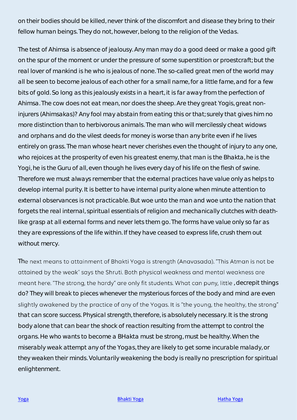on their bodies should be killed, never think of the discomfort and disease they bring to their fellow human beings. They do not, however, belong to the religion of the Vedas.

The test of Ahimsa is absence of jealousy. Any man may do a good deed or make a good gift on the spur of the moment or under the pressure of some superstition or proestcraft; but the real lover of mankind is he who is jealous of none. The so-called great men of the world may all be seen to become jealous of each other for a small name, for a little fame, and for a few bits of gold. So long as this jealously exists in a heart, it is far away from the perfection of Ahimsa. The cow does not eat mean, nor does the sheep. Are they great Yogis, great noninjurers (Ahimsakas)? Any fool may abstain from eating this or that; surely that gives him no more distinction than to herbivorous animals. The man who will mercilessly cheat widows and orphans and do the vilest deeds for money is worse than any brite even if he lives entirely on grass. The man whose heart never cherishes even the thought of injury to any one, who rejoices at the prosperity of even his greatest enemy, that man is the Bhakta, he is the Yogi, he is the Guru of all, even though he lives every day of his life on the flesh of swine. Therefore we must always remember that the external practices have value only as helps to develop internal purity. It is better to have internal purity alone when minute attention to external observances is not practicable. But woe unto the man and woe unto the nation that forgets the real internal, spiritual essentials of religion and mechanically clutches with deathlike grasp at all external forms and never lets them go. The forms have value only so far as they are expressions of the life within. If they have ceased to express life, crush them out without mercy.

The next means to attainment of Bhakti Yoga is strength (Anavasada). "This Atman is not be attained by the weak" says the Shruti. Both physical weakness and mental weakness are meant here. "The strong, the hardy" are only fit students. What can puny, little, decrepit things do? They will break to pieces whenever the mysterious forces of the body and mind are even slightly awakened by the practice of any of the Yogas. It is "the young, the healthy, the strong" that can score success. Physical strength, therefore, is absolutely necessary. It is the strong body alone that can bear the shock of reaction resulting from the attempt to control the organs. He who wants to become a BHakta must be strong, must be healthy. When the miserably weak attempt any of the Yogas, they are likely to get some incurable malady, or they weaken their minds. Voluntarily weakening the body is really no prescription for spiritual enlightenment.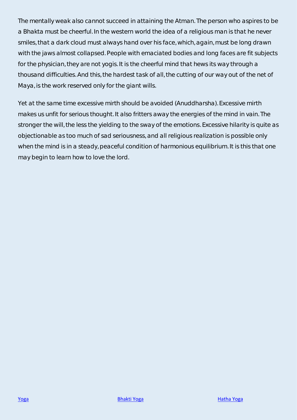The mentally weak also cannot succeed in attaining the Atman. The person who aspires to be a Bhakta must be cheerful. In the western world the idea of a religious man is that he never smiles, that a dark cloud must always hand over his face, which, again, must be long drawn with the jaws almost collapsed. People with emaciated bodies and long faces are fit subjects for the physician, they are not yogis. It is the cheerful mind that hews its way through a thousand difficulties. And this, the hardest task of all, the cutting of our way out of the net of Maya, is the work reserved only for the giant wills.

Yet at the same time excessive mirth should be avoided (Anuddharsha). Excessive mirth makes us unfit for serious thought. It also fritters away the energies of the mind in vain. The stronger the will, the less the yielding to the sway of the emotions. Excessive hilarity is quite as objectionable as too much of sad seriousness, and all religious realization is possible only when the mind is in a steady, peaceful condition of harmonious equilibrium. It is this that one may begin to learn how to love the lord.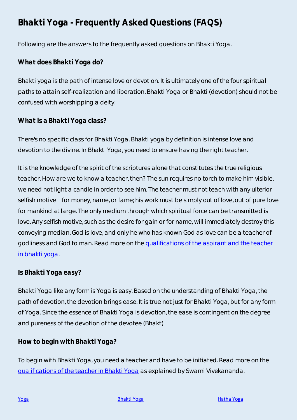# <span id="page-34-0"></span>**Bhakti Yoga - Frequently Asked Questions (FAQS)**

Following are the answers to the frequently asked questions on Bhakti Yoga.

# <span id="page-34-1"></span>**What does Bhakti Yoga do?**

Bhakti yoga is the path of intense love or devotion. It is ultimately one of the four spiritual paths to attain self-realization and liberation. Bhakti Yoga or Bhakti (devotion) should not be confused with worshipping a deity.

# <span id="page-34-2"></span>**What is a Bhakti Yoga class?**

There's no specific class for Bhakti Yoga. Bhakti yoga by definition is intense love and devotion to the divine. In Bhakti Yoga, you need to ensure having the right teacher.

It is the knowledge of the spirit of the scriptures alone that constitutes the true religious teacher. How are we to know a teacher, then? The sun requires no torch to make him visible, we need not light a candle in order to see him. The teacher must not teach with any ulterior selfish motive - for money, name, or fame; his work must be simply out of love, out of pure love for mankind at large. The only medium through which spiritual force can be transmitted is love. Any selfish motive, such as the desire for gain or for name, will immediately destroy this conveying median. God is love, and only he who has known God as love can be a teacher of godliness and God to man. Read more on the qualifications of the aspirant and the teacher in bhakti yoga.

### <span id="page-34-3"></span>**Is Bhakti Yoga easy?**

Bhakti Yoga like any form is Yoga is easy. Based on the understanding of Bhakti Yoga, the path of devotion, the devotion brings ease. It is true not just for Bhakti Yoga, but for any form of Yoga. Since the essence of Bhakti Yoga is devotion, the ease is contingent on the degree and pureness of the devotion of the devotee (Bhakt)

### <span id="page-34-4"></span>**How to begin with Bhakti Yoga?**

To begin with Bhakti Yoga, you need a teacher and have to be initiated. Read more on the qualifications of the teacher in Bhakti Yoga as explained by Swami Vivekananda.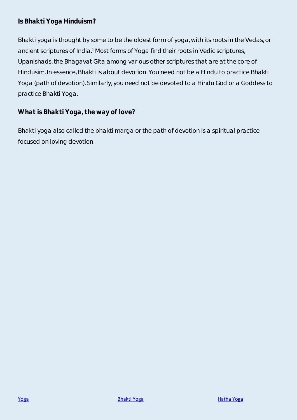# <span id="page-35-0"></span>**Is Bhakti Yoga Hinduism?**

Bhakti yoga is thought by some to be the oldest form of yoga, with its roots in the Vedas, or ancient scriptures of India.<sup>4</sup> Most forms of Yoga find their roots in Vedic scriptures, Upanishads, the Bhagavat Gita among various other scriptures that are at the core of Hindusim. In essence, Bhakti is about devotion. You need not be a Hindu to practice Bhakti Yoga (path of devotion). Similarly, you need not be devoted to a Hindu God or a Goddess to practice Bhakti Yoga.

<span id="page-35-1"></span>**What is Bhakti Yoga, the way of love?**

Bhakti yoga also called the bhakti marga or the path of devotion is a spiritual practice focused on loving devotion.